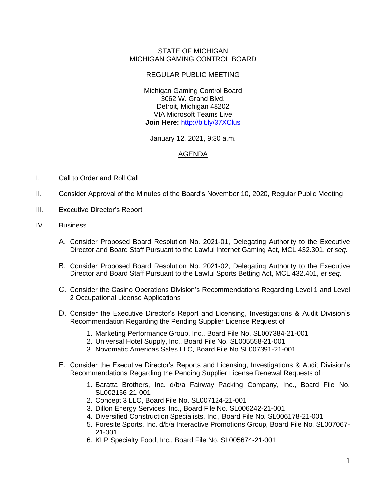## STATE OF MICHIGAN MICHIGAN GAMING CONTROL BOARD

## REGULAR PUBLIC MEETING

Michigan Gaming Control Board 3062 W. Grand Blvd. Detroit, Michigan 48202 VIA Microsoft Teams Live **Join Here:** <http://bit.ly/37XClus>

January 12, 2021, 9:30 a.m.

## AGENDA

- I. Call to Order and Roll Call
- II. Consider Approval of the Minutes of the Board's November 10, 2020, Regular Public Meeting
- III. Executive Director's Report
- IV. Business
	- A. Consider Proposed Board Resolution No. 2021-01, Delegating Authority to the Executive Director and Board Staff Pursuant to the Lawful Internet Gaming Act, MCL 432.301, *et seq.*
	- B. Consider Proposed Board Resolution No. 2021-02, Delegating Authority to the Executive Director and Board Staff Pursuant to the Lawful Sports Betting Act, MCL 432.401, *et seq.*
	- C. Consider the Casino Operations Division's Recommendations Regarding Level 1 and Level 2 Occupational License Applications
	- D. Consider the Executive Director's Report and Licensing, Investigations & Audit Division's Recommendation Regarding the Pending Supplier License Request of
		- 1. Marketing Performance Group, Inc., Board File No. SL007384-21-001
		- 2. Universal Hotel Supply, Inc., Board File No. SL005558-21-001
		- 3. Novomatic Americas Sales LLC, Board File No SL007391-21-001
	- E. Consider the Executive Director's Reports and Licensing, Investigations & Audit Division's Recommendations Regarding the Pending Supplier License Renewal Requests of
		- 1. Baratta Brothers, Inc. d/b/a Fairway Packing Company, Inc., Board File No. SL002166-21-001
		- 2. Concept 3 LLC, Board File No. SL007124-21-001
		- 3. Dillon Energy Services, Inc., Board File No. SL006242-21-001
		- 4. Diversified Construction Specialists, Inc., Board File No. SL006178-21-001
		- 5. Foresite Sports, Inc. d/b/a Interactive Promotions Group, Board File No. SL007067- 21-001
		- 6. KLP Specialty Food, Inc., Board File No. SL005674-21-001